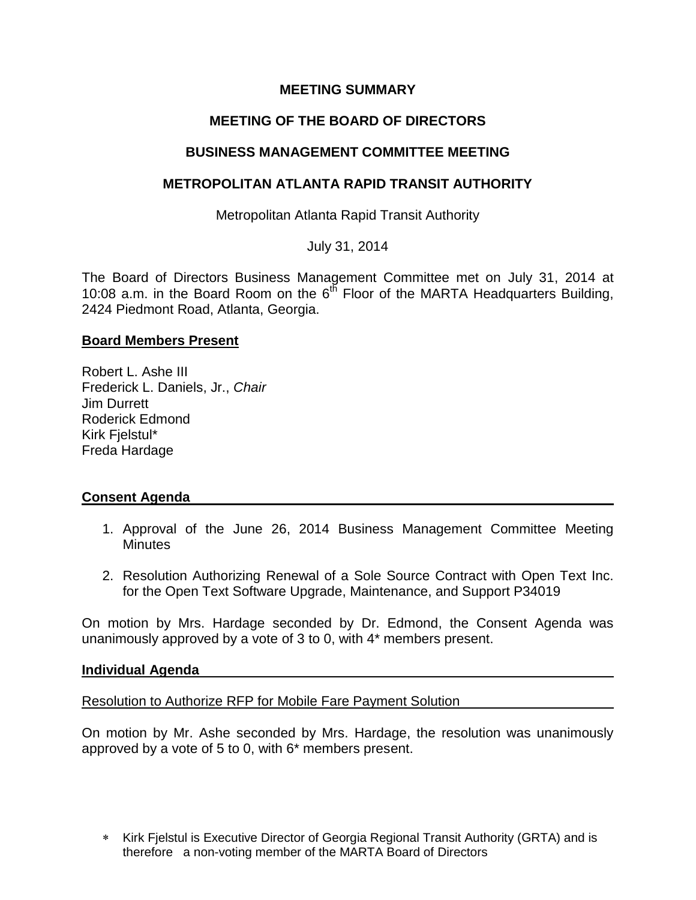## **MEETING SUMMARY**

# **MEETING OF THE BOARD OF DIRECTORS**

### **BUSINESS MANAGEMENT COMMITTEE MEETING**

### **METROPOLITAN ATLANTA RAPID TRANSIT AUTHORITY**

Metropolitan Atlanta Rapid Transit Authority

July 31, 2014

The Board of Directors Business Management Committee met on July 31, 2014 at 10:08 a.m. in the Board Room on the  $6^{th}$  Floor of the MARTA Headquarters Building, 2424 Piedmont Road, Atlanta, Georgia.

### **Board Members Present**

Robert L. Ashe III Frederick L. Daniels, Jr., *Chair* Jim Durrett Roderick Edmond Kirk Fjelstul\* Freda Hardage

### **Consent Agenda**

- 1. Approval of the June 26, 2014 Business Management Committee Meeting **Minutes**
- 2. Resolution Authorizing Renewal of a Sole Source Contract with Open Text Inc. for the Open Text Software Upgrade, Maintenance, and Support P34019

On motion by Mrs. Hardage seconded by Dr. Edmond, the Consent Agenda was unanimously approved by a vote of 3 to 0, with 4\* members present.

#### **Individual Agenda**

Resolution to Authorize RFP for Mobile Fare Payment Solution

On motion by Mr. Ashe seconded by Mrs. Hardage, the resolution was unanimously approved by a vote of 5 to 0, with 6\* members present.

\* Kirk Fjelstul is Executive Director of Georgia Regional Transit Authority (GRTA) and is therefore a non-voting member of the MARTA Board of Directors